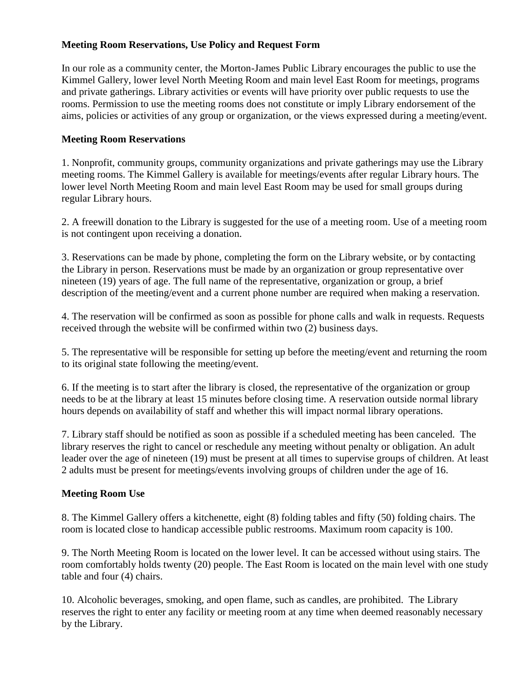## **Meeting Room Reservations, Use Policy and Request Form**

In our role as a community center, the Morton-James Public Library encourages the public to use the Kimmel Gallery, lower level North Meeting Room and main level East Room for meetings, programs and private gatherings. Library activities or events will have priority over public requests to use the rooms. Permission to use the meeting rooms does not constitute or imply Library endorsement of the aims, policies or activities of any group or organization, or the views expressed during a meeting/event.

## **Meeting Room Reservations**

1. Nonprofit, community groups, community organizations and private gatherings may use the Library meeting rooms. The Kimmel Gallery is available for meetings/events after regular Library hours. The lower level North Meeting Room and main level East Room may be used for small groups during regular Library hours.

2. A freewill donation to the Library is suggested for the use of a meeting room. Use of a meeting room is not contingent upon receiving a donation.

3. Reservations can be made by phone, completing the form on the Library website, or by contacting the Library in person. Reservations must be made by an organization or group representative over nineteen (19) years of age. The full name of the representative, organization or group, a brief description of the meeting/event and a current phone number are required when making a reservation.

4. The reservation will be confirmed as soon as possible for phone calls and walk in requests. Requests received through the website will be confirmed within two (2) business days.

5. The representative will be responsible for setting up before the meeting/event and returning the room to its original state following the meeting/event.

6. If the meeting is to start after the library is closed, the representative of the organization or group needs to be at the library at least 15 minutes before closing time. A reservation outside normal library hours depends on availability of staff and whether this will impact normal library operations.

7. Library staff should be notified as soon as possible if a scheduled meeting has been canceled. The library reserves the right to cancel or reschedule any meeting without penalty or obligation. An adult leader over the age of nineteen (19) must be present at all times to supervise groups of children. At least 2 adults must be present for meetings/events involving groups of children under the age of 16.

## **Meeting Room Use**

8. The Kimmel Gallery offers a kitchenette, eight (8) folding tables and fifty (50) folding chairs. The room is located close to handicap accessible public restrooms. Maximum room capacity is 100.

9. The North Meeting Room is located on the lower level. It can be accessed without using stairs. The room comfortably holds twenty (20) people. The East Room is located on the main level with one study table and four (4) chairs.

10. Alcoholic beverages, smoking, and open flame, such as candles, are prohibited. The Library reserves the right to enter any facility or meeting room at any time when deemed reasonably necessary by the Library.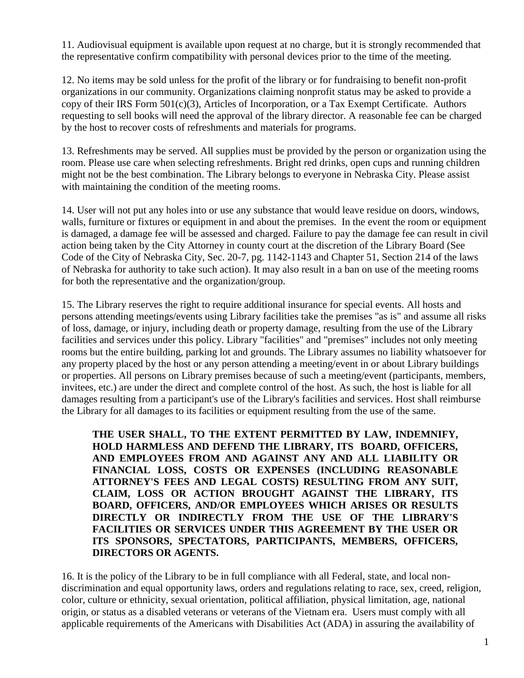11. Audiovisual equipment is available upon request at no charge, but it is strongly recommended that the representative confirm compatibility with personal devices prior to the time of the meeting.

12. No items may be sold unless for the profit of the library or for fundraising to benefit non-profit organizations in our community. Organizations claiming nonprofit status may be asked to provide a copy of their IRS Form 501(c)(3), Articles of Incorporation, or a Tax Exempt Certificate. Authors requesting to sell books will need the approval of the library director. A reasonable fee can be charged by the host to recover costs of refreshments and materials for programs.

13. Refreshments may be served. All supplies must be provided by the person or organization using the room. Please use care when selecting refreshments. Bright red drinks, open cups and running children might not be the best combination. The Library belongs to everyone in Nebraska City. Please assist with maintaining the condition of the meeting rooms.

14. User will not put any holes into or use any substance that would leave residue on doors, windows, walls, furniture or fixtures or equipment in and about the premises. In the event the room or equipment is damaged, a damage fee will be assessed and charged. Failure to pay the damage fee can result in civil action being taken by the City Attorney in county court at the discretion of the Library Board (See Code of the City of Nebraska City, Sec. 20-7, pg. 1142-1143 and Chapter 51, Section 214 of the laws of Nebraska for authority to take such action). It may also result in a ban on use of the meeting rooms for both the representative and the organization/group.

15. The Library reserves the right to require additional insurance for special events. All hosts and persons attending meetings/events using Library facilities take the premises "as is" and assume all risks of loss, damage, or injury, including death or property damage, resulting from the use of the Library facilities and services under this policy. Library "facilities" and "premises" includes not only meeting rooms but the entire building, parking lot and grounds. The Library assumes no liability whatsoever for any property placed by the host or any person attending a meeting/event in or about Library buildings or properties. All persons on Library premises because of such a meeting/event (participants, members, invitees, etc.) are under the direct and complete control of the host. As such, the host is liable for all damages resulting from a participant's use of the Library's facilities and services. Host shall reimburse the Library for all damages to its facilities or equipment resulting from the use of the same.

**THE USER SHALL, TO THE EXTENT PERMITTED BY LAW, INDEMNIFY, HOLD HARMLESS AND DEFEND THE LIBRARY, ITS BOARD, OFFICERS, AND EMPLOYEES FROM AND AGAINST ANY AND ALL LIABILITY OR FINANCIAL LOSS, COSTS OR EXPENSES (INCLUDING REASONABLE ATTORNEY'S FEES AND LEGAL COSTS) RESULTING FROM ANY SUIT, CLAIM, LOSS OR ACTION BROUGHT AGAINST THE LIBRARY, ITS BOARD, OFFICERS, AND/OR EMPLOYEES WHICH ARISES OR RESULTS DIRECTLY OR INDIRECTLY FROM THE USE OF THE LIBRARY'S FACILITIES OR SERVICES UNDER THIS AGREEMENT BY THE USER OR ITS SPONSORS, SPECTATORS, PARTICIPANTS, MEMBERS, OFFICERS, DIRECTORS OR AGENTS.**

16. It is the policy of the Library to be in full compliance with all Federal, state, and local nondiscrimination and equal opportunity laws, orders and regulations relating to race, sex, creed, religion, color, culture or ethnicity, sexual orientation, political affiliation, physical limitation, age, national origin, or status as a disabled veterans or veterans of the Vietnam era. Users must comply with all applicable requirements of the Americans with Disabilities Act (ADA) in assuring the availability of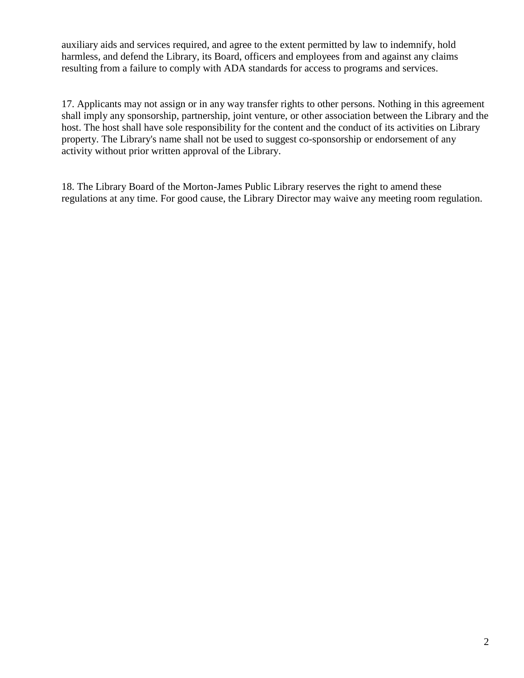auxiliary aids and services required, and agree to the extent permitted by law to indemnify, hold harmless, and defend the Library, its Board, officers and employees from and against any claims resulting from a failure to comply with ADA standards for access to programs and services.

17. Applicants may not assign or in any way transfer rights to other persons. Nothing in this agreement shall imply any sponsorship, partnership, joint venture, or other association between the Library and the host. The host shall have sole responsibility for the content and the conduct of its activities on Library property. The Library's name shall not be used to suggest co-sponsorship or endorsement of any activity without prior written approval of the Library.

18. The Library Board of the Morton-James Public Library reserves the right to amend these regulations at any time. For good cause, the Library Director may waive any meeting room regulation.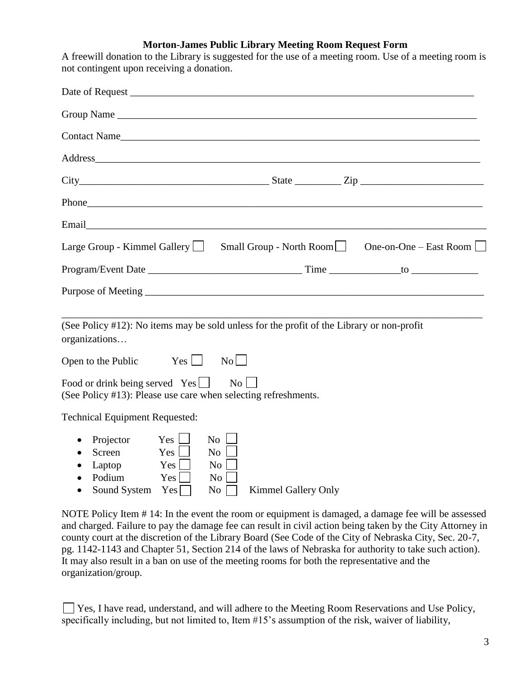## **Morton-James Public Library Meeting Room Request Form**

A freewill donation to the Library is suggested for the use of a meeting room. Use of a meeting room is not contingent upon receiving a donation.

| Email 2008 - 2008 - 2010 - 2010 - 2010 - 2010 - 2011 - 2012 - 2013 - 2014 - 2014 - 2014 - 2014 - 2014 - 2014 -                                                                                                                 |
|--------------------------------------------------------------------------------------------------------------------------------------------------------------------------------------------------------------------------------|
| Large Group - Kimmel Gallery   Small Group - North Room   Some-on-One – East Room   Small Group - North Room                                                                                                                   |
| Program/Event Date in the contract of the contract of the contract of the contract of the contract of the contract of the contract of the contract of the contract of the contract of the contract of the contract of the cont |
|                                                                                                                                                                                                                                |
| (See Policy #12): No items may be sold unless for the profit of the Library or non-profit<br>organizations                                                                                                                     |
| Open to the Public $Yes$ $\Box$ No                                                                                                                                                                                             |
| Food or drink being served $Yes$<br>No<br>(See Policy #13): Please use care when selecting refreshments.                                                                                                                       |
| <b>Technical Equipment Requested:</b>                                                                                                                                                                                          |
| $Yes$ $\Box$<br>No<br>Projector<br>Screen<br>Yes<br>No<br>Laptop<br>Yes  <br><b>No</b><br>Podium<br>Yes<br>No<br>Sound System $Yes \Box$<br>No<br><b>Kimmel Gallery Only</b><br>$\bullet$                                      |

NOTE Policy Item # 14: In the event the room or equipment is damaged, a damage fee will be assessed and charged. Failure to pay the damage fee can result in civil action being taken by the City Attorney in county court at the discretion of the Library Board (See Code of the City of Nebraska City, Sec. 20-7, pg. 1142-1143 and Chapter 51, Section 214 of the laws of Nebraska for authority to take such action). It may also result in a ban on use of the meeting rooms for both the representative and the organization/group.

 $\Box$  Yes, I have read, understand, and will adhere to the Meeting Room Reservations and Use Policy, specifically including, but not limited to, Item #15's assumption of the risk, waiver of liability,